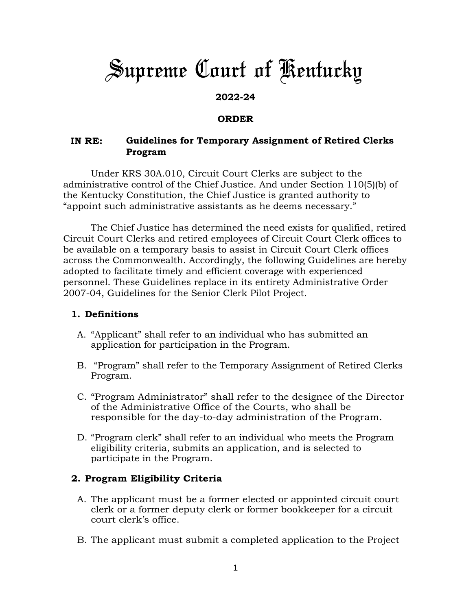# *Supreme Court of Kentucky*

## **2022-24**

## **ORDER**

# **IN RE: Guidelines for Temporary Assignment of Retired Clerks Program**

Under KRS 30A.010, Circuit Court Clerks are subject to the administrative control of the Chief Justice. And under Section 110(5)(b) of the Kentucky Constitution, the Chief Justice is granted authority to "appoint such administrative assistants as he deems necessary."

The Chief Justice has determined the need exists for qualified, retired Circuit Court Clerks and retired employees of Circuit Court Clerk offices to be available on a temporary basis to assist in Circuit Court Clerk offices across the Commonwealth. Accordingly, the following Guidelines are hereby adopted to facilitate timely and efficient coverage with experienced personnel. These Guidelines replace in its entirety Administrative Order 2007-04, Guidelines for the Senior Clerk Pilot Project.

## **1. Definitions**

- A. "Applicant" shall refer to an individual who has submitted an application for participation in the Program.
- B. "Program" shall refer to the Temporary Assignment of Retired Clerks Program.
- C. "Program Administrator" shall refer to the designee of the Director of the Administrative Office of the Courts, who shall be responsible for the day-to-day administration of the Program.
- D. "Program clerk" shall refer to an individual who meets the Program eligibility criteria, submits an application, and is selected to participate in the Program.

# **2. Program Eligibility Criteria**

- A. The applicant must be a former elected or appointed circuit court clerk or a former deputy clerk or former bookkeeper for a circuit court clerk's office.
- B. The applicant must submit a completed application to the Project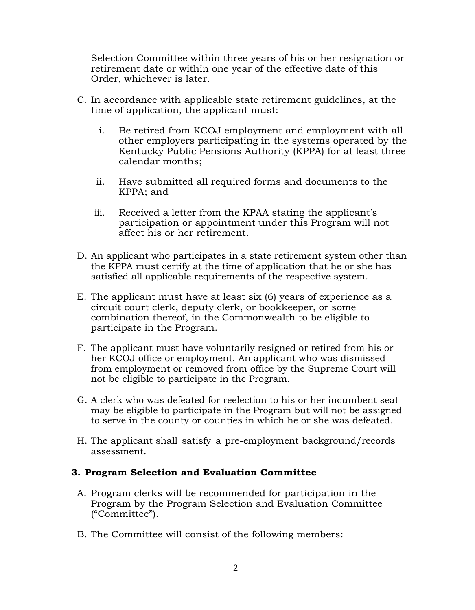Selection Committee within three years of his or her resignation or retirement date or within one year of the effective date of this Order, whichever is later.

- C. In accordance with applicable state retirement guidelines, at the time of application, the applicant must:
	- i. Be retired from KCOJ employment and employment with all other employers participating in the systems operated by the Kentucky Public Pensions Authority (KPPA) for at least three calendar months;
	- ii. Have submitted all required forms and documents to the KPPA; and
	- iii. Received a letter from the KPAA stating the applicant's participation or appointment under this Program will not affect his or her retirement.
- D. An applicant who participates in a state retirement system other than the KPPA must certify at the time of application that he or she has satisfied all applicable requirements of the respective system.
- E. The applicant must have at least six (6) years of experience as a circuit court clerk, deputy clerk, or bookkeeper, or some combination thereof, in the Commonwealth to be eligible to participate in the Program.
- F. The applicant must have voluntarily resigned or retired from his or her KCOJ office or employment. An applicant who was dismissed from employment or removed from office by the Supreme Court will not be eligible to participate in the Program.
- G. A clerk who was defeated for reelection to his or her incumbent seat may be eligible to participate in the Program but will not be assigned to serve in the county or counties in which he or she was defeated.
- H. The applicant shall satisfy a pre-employment background/records assessment.

## **3. Program Selection and Evaluation Committee**

- A. Program clerks will be recommended for participation in the Program by the Program Selection and Evaluation Committee ("Committee").
- B. The Committee will consist of the following members: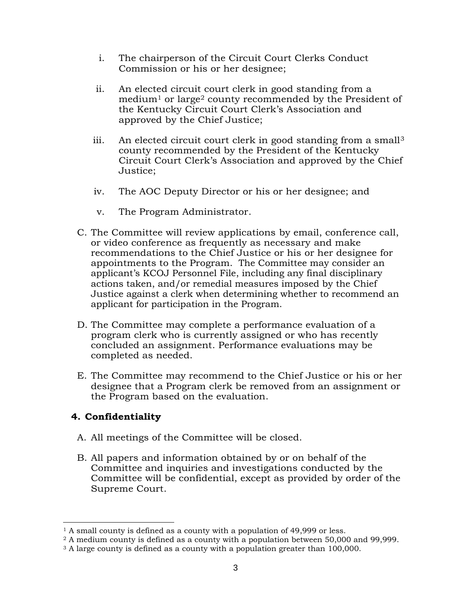- i. The chairperson of the Circuit Court Clerks Conduct Commission or his or her designee;
- ii. An elected circuit court clerk in good standing from a medium<sup>1</sup> or large<sup>2</sup> county recommended by the President of the Kentucky Circuit Court Clerk's Association and approved by the Chief Justice;
- iii. An elected circuit court clerk in good standing from a small<sup>3</sup> county recommended by the President of the Kentucky Circuit Court Clerk's Association and approved by the Chief Justice;
- iv. The AOC Deputy Director or his or her designee; and
- v. The Program Administrator.
- C. The Committee will review applications by email, conference call, or video conference as frequently as necessary and make recommendations to the Chief Justice or his or her designee for appointments to the Program. The Committee may consider an applicant's KCOJ Personnel File, including any final disciplinary actions taken, and/or remedial measures imposed by the Chief Justice against a clerk when determining whether to recommend an applicant for participation in the Program.
- D. The Committee may complete a performance evaluation of a program clerk who is currently assigned or who has recently concluded an assignment. Performance evaluations may be completed as needed.
- E. The Committee may recommend to the Chief Justice or his or her designee that a Program clerk be removed from an assignment or the Program based on the evaluation.

# **4. Confidentiality**

- A. All meetings of the Committee will be closed.
- B. All papers and information obtained by or on behalf of the Committee and inquiries and investigations conducted by the Committee will be confidential, except as provided by order of the Supreme Court.

<sup>&</sup>lt;sup>1</sup> A small county is defined as a county with a population of 49,999 or less.

<sup>2</sup> A medium county is defined as a county with a population between 50,000 and 99,999.

<sup>3</sup> A large county is defined as a county with a population greater than 100,000.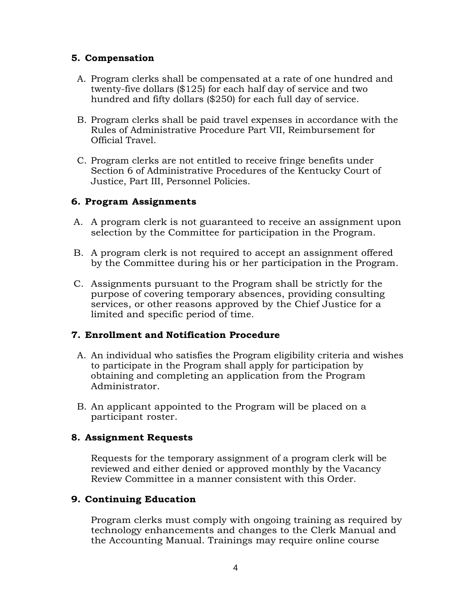## **5. Compensation**

- A. Program clerks shall be compensated at a rate of one hundred and twenty-five dollars (\$125) for each half day of service and two hundred and fifty dollars (\$250) for each full day of service.
- B. Program clerks shall be paid travel expenses in accordance with the Rules of Administrative Procedure Part VII, Reimbursement for Official Travel.
- C. Program clerks are not entitled to receive fringe benefits under Section 6 of Administrative Procedures of the Kentucky Court of Justice, Part III, Personnel Policies.

## **6. Program Assignments**

- A. A program clerk is not guaranteed to receive an assignment upon selection by the Committee for participation in the Program.
- B. A program clerk is not required to accept an assignment offered by the Committee during his or her participation in the Program.
- C. Assignments pursuant to the Program shall be strictly for the purpose of covering temporary absences, providing consulting services, or other reasons approved by the Chief Justice for a limited and specific period of time.

## **7. Enrollment and Notification Procedure**

- A. An individual who satisfies the Program eligibility criteria and wishes to participate in the Program shall apply for participation by obtaining and completing an application from the Program Administrator.
- B. An applicant appointed to the Program will be placed on a participant roster.

## **8. Assignment Requests**

Requests for the temporary assignment of a program clerk will be reviewed and either denied or approved monthly by the Vacancy Review Committee in a manner consistent with this Order.

## **9. Continuing Education**

Program clerks must comply with ongoing training as required by technology enhancements and changes to the Clerk Manual and the Accounting Manual. Trainings may require online course